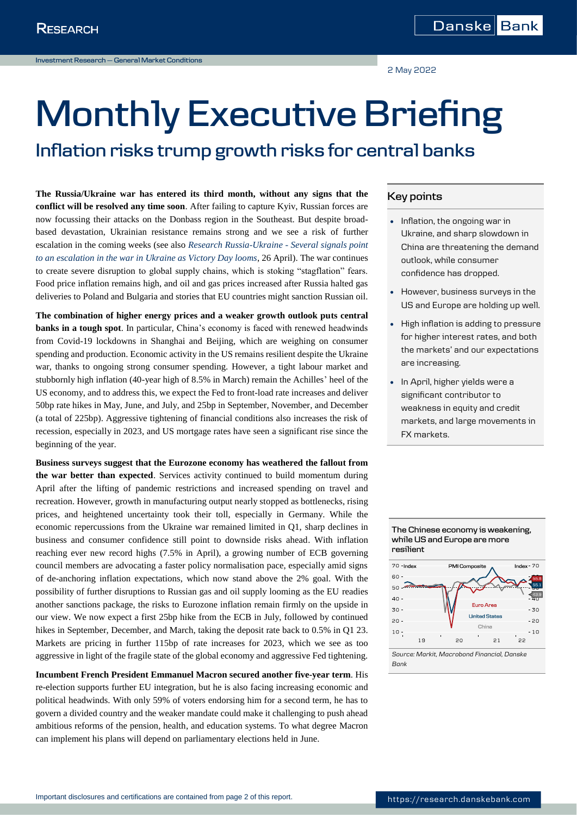2 May 2022

# **Monthly Executive Briefing**

# **Inflation risks trump growth risks for central banks**

**The Russia/Ukraine war has entered its third month, without any signs that the conflict will be resolved any time soon**. After failing to capture Kyiv, Russian forces are now focussing their attacks on the Donbass region in the Southeast. But despite broadbased devastation, Ukrainian resistance remains strong and we see a risk of further escalation in the coming weeks (see also *[Research Russia-Ukraine -](https://research.danskebank.com/research/#/Research/article/0e1d9171-8f2c-47d0-9674-d9c6f483550c/EN) Several signals point [to an escalation in the war in Ukraine as Victory Day looms](https://research.danskebank.com/research/#/Research/article/0e1d9171-8f2c-47d0-9674-d9c6f483550c/EN)*, 26 April). The war continues to create severe disruption to global supply chains, which is stoking "stagflation" fears. Food price inflation remains high, and oil and gas prices increased after Russia halted gas deliveries to Poland and Bulgaria and stories that EU countries might sanction Russian oil.

**The combination of higher energy prices and a weaker growth outlook puts central banks in a tough spot**. In particular, China's economy is faced with renewed headwinds from Covid-19 lockdowns in Shanghai and Beijing, which are weighing on consumer spending and production. Economic activity in the US remains resilient despite the Ukraine war, thanks to ongoing strong consumer spending. However, a tight labour market and stubbornly high inflation (40-year high of 8.5% in March) remain the Achilles' heel of the US economy, and to address this, we expect the Fed to front-load rate increases and deliver 50bp rate hikes in May, June, and July, and 25bp in September, November, and December (a total of 225bp). Aggressive tightening of financial conditions also increases the risk of recession, especially in 2023, and US mortgage rates have seen a significant rise since the beginning of the year.

**Business surveys suggest that the Eurozone economy has weathered the fallout from the war better than expected**. Services activity continued to build momentum during April after the lifting of pandemic restrictions and increased spending on travel and recreation. However, growth in manufacturing output nearly stopped as bottlenecks, rising prices, and heightened uncertainty took their toll, especially in Germany. While the economic repercussions from the Ukraine war remained limited in Q1, sharp declines in business and consumer confidence still point to downside risks ahead. With inflation reaching ever new record highs (7.5% in April), a growing number of ECB governing council members are advocating a faster policy normalisation pace, especially amid signs of de-anchoring inflation expectations, which now stand above the 2% goal. With the possibility of further disruptions to Russian gas and oil supply looming as the EU readies another sanctions package, the risks to Eurozone inflation remain firmly on the upside in our view. We now expect a first 25bp hike from the ECB in July, followed by continued hikes in September, December, and March, taking the deposit rate back to 0.5% in Q1 23. Markets are pricing in further 115bp of rate increases for 2023, which we see as too aggressive in light of the fragile state of the global economy and aggressive Fed tightening.

**Incumbent French President Emmanuel Macron secured another five-year term**. His re-election supports further EU integration, but he is also facing increasing economic and political headwinds. With only 59% of voters endorsing him for a second term, he has to govern a divided country and the weaker mandate could make it challenging to push ahead ambitious reforms of the pension, health, and education systems. To what degree Macron can implement his plans will depend on parliamentary elections held in June.

# **Key points**

- Inflation, the ongoing war in Ukraine, and sharp slowdown in China are threatening the demand outlook, while consumer confidence has dropped.
- However, business surveys in the US and Europe are holding up well.
- High inflation is adding to pressure for higher interest rates, and both the markets' and our expectations are increasing.
- In April, higher yields were a significant contributor to weakness in equity and credit markets, and large movements in FX markets.

# **The Chinese economy is weakening, while US and Europe are more resilient**



*Source: Markit, Macrobond Financial, Danske Bank*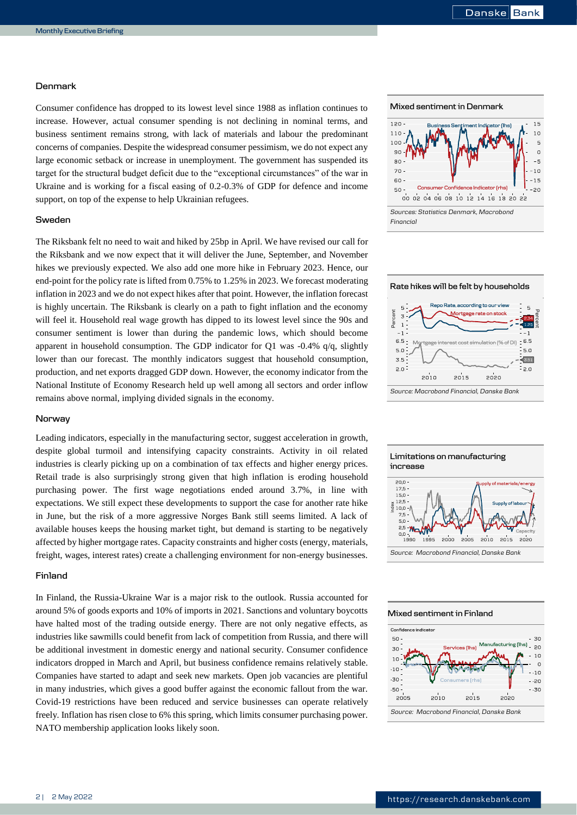## **Denmark**

Consumer confidence has dropped to its lowest level since 1988 as inflation continues to increase. However, actual consumer spending is not declining in nominal terms, and business sentiment remains strong, with lack of materials and labour the predominant concerns of companies. Despite the widespread consumer pessimism, we do not expect any large economic setback or increase in unemployment. The government has suspended its target for the structural budget deficit due to the "exceptional circumstances" of the war in Ukraine and is working for a fiscal easing of 0.2-0.3% of GDP for defence and income support, on top of the expense to help Ukrainian refugees.

# **Sweden**

The Riksbank felt no need to wait and hiked by 25bp in April. We have revised our call for the Riksbank and we now expect that it will deliver the June, September, and November hikes we previously expected. We also add one more hike in February 2023. Hence, our end-point for the policy rate is lifted from 0.75% to 1.25% in 2023. We forecast moderating inflation in 2023 and we do not expect hikes after that point. However, the inflation forecast is highly uncertain. The Riksbank is clearly on a path to fight inflation and the economy will feel it. Household real wage growth has dipped to its lowest level since the 90s and consumer sentiment is lower than during the pandemic lows, which should become apparent in household consumption. The GDP indicator for Q1 was -0.4% q/q, slightly lower than our forecast. The monthly indicators suggest that household consumption, production, and net exports dragged GDP down. However, the economy indicator from the National Institute of Economy Research held up well among all sectors and order inflow remains above normal, implying divided signals in the economy.

## **Norway**

Leading indicators, especially in the manufacturing sector, suggest acceleration in growth, despite global turmoil and intensifying capacity constraints. Activity in oil related industries is clearly picking up on a combination of tax effects and higher energy prices. Retail trade is also surprisingly strong given that high inflation is eroding household purchasing power. The first wage negotiations ended around 3.7%, in line with expectations. We still expect these developments to support the case for another rate hike in June, but the risk of a more aggressive Norges Bank still seems limited. A lack of available houses keeps the housing market tight, but demand is starting to be negatively affected by higher mortgage rates. Capacity constraints and higher costs (energy, materials, freight, wages, interest rates) create a challenging environment for non-energy businesses.

# **Finland**

In Finland, the Russia-Ukraine War is a major risk to the outlook. Russia accounted for around 5% of goods exports and 10% of imports in 2021. Sanctions and voluntary boycotts have halted most of the trading outside energy. There are not only negative effects, as industries like sawmills could benefit from lack of competition from Russia, and there will be additional investment in domestic energy and national security. Consumer confidence indicators dropped in March and April, but business confidence remains relatively stable. Companies have started to adapt and seek new markets. Open job vacancies are plentiful in many industries, which gives a good buffer against the economic fallout from the war. Covid-19 restrictions have been reduced and service businesses can operate relatively freely. Inflation has risen close to 6% this spring, which limits consumer purchasing power. NATO membership application looks likely soon.







#### **Mixed sentiment in Finland**

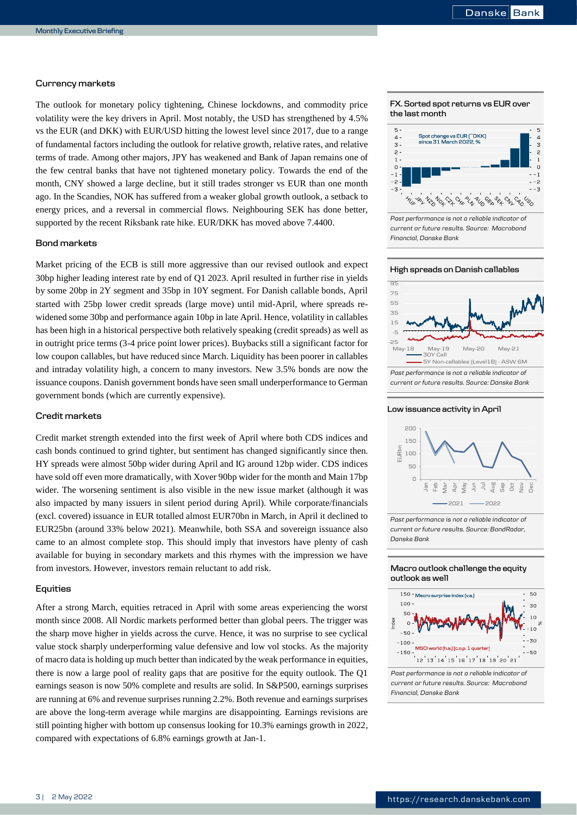# **Currency markets**

The outlook for monetary policy tightening, Chinese lockdowns, and commodity price volatility were the key drivers in April. Most notably, the USD has strengthened by 4.5% vs the EUR (and DKK) with EUR/USD hitting the lowest level since 2017, due to a range of fundamental factors including the outlook for relative growth, relative rates, and relative terms of trade. Among other majors, JPY has weakened and Bank of Japan remains one of the few central banks that have not tightened monetary policy. Towards the end of the month, CNY showed a large decline, but it still trades stronger vs EUR than one month ago. In the Scandies, NOK has suffered from a weaker global growth outlook, a setback to energy prices, and a reversal in commercial flows. Neighbouring SEK has done better, supported by the recent Riksbank rate hike. EUR/DKK has moved above 7.4400.

# **Bond markets**

Market pricing of the ECB is still more aggressive than our revised outlook and expect 30bp higher leading interest rate by end of Q1 2023. April resulted in further rise in yields by some 20bp in 2Y segment and 35bp in 10Y segment. For Danish callable bonds, April started with 25bp lower credit spreads (large move) until mid-April, where spreads rewidened some 30bp and performance again 10bp in late April. Hence, volatility in callables has been high in a historical perspective both relatively speaking (credit spreads) as well as in outright price terms (3-4 price point lower prices). Buybacks still a significant factor for low coupon callables, but have reduced since March. Liquidity has been poorer in callables and intraday volatility high, a concern to many investors. New 3.5% bonds are now the issuance coupons. Danish government bonds have seen small underperformance to German government bonds (which are currently expensive).

## **Credit markets**

Credit market strength extended into the first week of April where both CDS indices and cash bonds continued to grind tighter, but sentiment has changed significantly since then. HY spreads were almost 50bp wider during April and IG around 12bp wider. CDS indices have sold off even more dramatically, with Xover 90bp wider for the month and Main 17bp wider. The worsening sentiment is also visible in the new issue market (although it was also impacted by many issuers in silent period during April). While corporate/financials (excl. covered) issuance in EUR totalled almost EUR70bn in March, in April it declined to EUR25bn (around 33% below 2021). Meanwhile, both SSA and sovereign issuance also came to an almost complete stop. This should imply that investors have plenty of cash available for buying in secondary markets and this rhymes with the impression we have from investors. However, investors remain reluctant to add risk.

## **Equities**

After a strong March, equities retraced in April with some areas experiencing the worst month since 2008. All Nordic markets performed better than global peers. The trigger was the sharp move higher in yields across the curve. Hence, it was no surprise to see cyclical value stock sharply underperforming value defensive and low vol stocks. As the majority of macro data is holding up much better than indicated by the weak performance in equities, there is now a large pool of reality gaps that are positive for the equity outlook. The Q1 earnings season is now 50% complete and results are solid. In S&P500, earnings surprises are running at 6% and revenue surprises running 2.2%. Both revenue and earnings surprises are above the long-term average while margins are disappointing. Earnings revisions are still pointing higher with bottom up consensus looking for 10.3% earnings growth in 2022, compared with expectations of 6.8% earnings growth at Jan-1.

# **FX. Sorted spot returns vs EUR over the last month**



*Past performance is not a reliable indicator of current or future results. Source: Macrobond Financial, Danske Bank*







*Past performance is not a reliable indicator of current or future results. Source: BondRadar, Danske Bank*

## **Macro outlook challenge the equity outlook as well**



*Past performance is not a reliable indicator of current or future results. Source: Macrobond Financial, Danske Bank*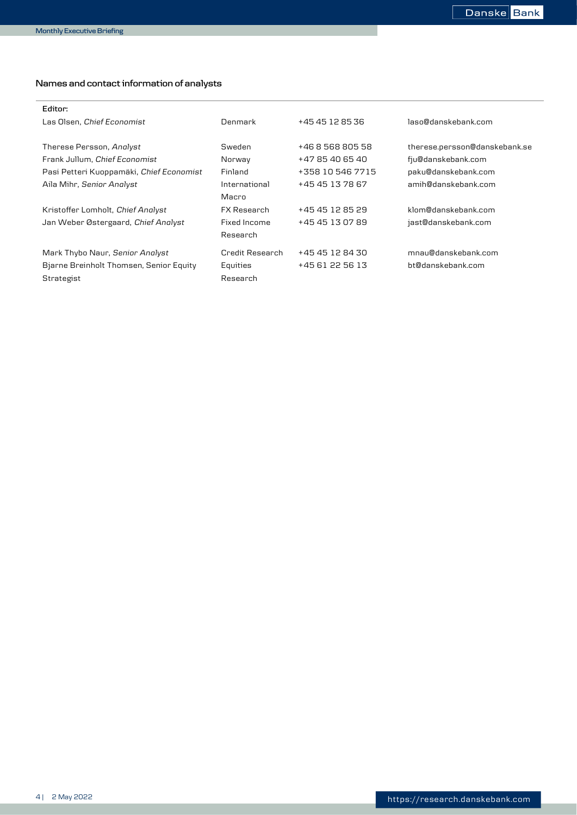$\overline{a}$ 

# **Names and contact information of analysts**

| Editor:                                  |                    |                  |                               |
|------------------------------------------|--------------------|------------------|-------------------------------|
| Las Olsen, Chief Economist               | Denmark            | +45 45 12 85 36  | laso@danskebank.com           |
|                                          |                    |                  |                               |
| Therese Persson, Analyst                 | Sweden             | +46 8 568 805 58 | therese.persson@danskebank.se |
| Frank Jullum, Chief Economist            | Norway             | +47 85 40 65 40  | fju@danskebank.com            |
| Pasi Petteri Kuoppamäki, Chief Economist | Finland            | +358 10 546 7715 | paku@danskebank.com           |
| Aila Mihr, Senior Analyst                | International      | +45 45 13 78 67  | amih@danskebank.com           |
|                                          | Macro              |                  |                               |
| Kristoffer Lomholt, Chief Analyst        | <b>FX Research</b> | +45 45 12 85 29  | klom@danskebank.com           |
| Jan Weber Østergaard, Chief Analyst      | Fixed Income       | +45 45 13 07 89  | jast@danskebank.com           |
|                                          | Research           |                  |                               |
| Mark Thybo Naur, Senior Analyst          | Credit Research    | +45 45 12 84 30  | mnau@danskebank.com           |
| Bjarne Breinholt Thomsen, Senior Equity  | Equities           | +45 61 22 56 13  | bt@danskebank.com             |
| Strategist                               | Research           |                  |                               |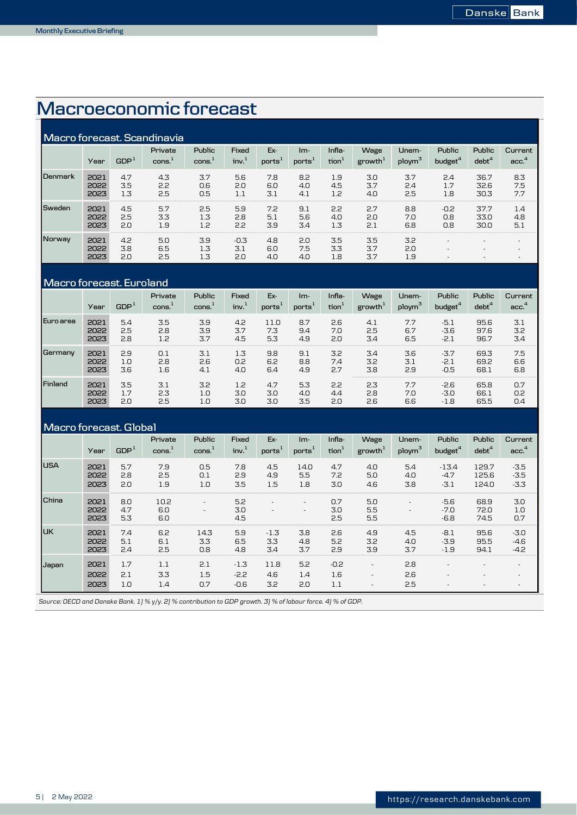# 4B**Macroeconomic forecast**

|               |                      |                   | Macro forecast. Scandinavia |                   |                            |                           |                             |                             |                             |                             |                                      |                          |                          |
|---------------|----------------------|-------------------|-----------------------------|-------------------|----------------------------|---------------------------|-----------------------------|-----------------------------|-----------------------------|-----------------------------|--------------------------------------|--------------------------|--------------------------|
|               | Year                 | GDP <sup>1</sup>  | Private<br>cons.            | Public<br>cons.   | Fixed<br>inv. <sup>1</sup> | Ex-<br>ports <sup>1</sup> | $Im-$<br>ports <sup>®</sup> | Infla-<br>tion <sup>1</sup> | Wage<br>growth <sup>1</sup> | Unem-<br>ploym <sup>3</sup> | <b>Public</b><br>budget <sup>4</sup> | Public<br>$debt^4$       | Current<br>acc.          |
| l Denmark     | 2021<br>2022<br>2023 | 4.7<br>3.5<br>1.3 | 4.3<br>2.2<br>2.5           | 3.7<br>0.6<br>0.5 | 5.6<br>2.0<br>1.1          | 7.8<br>6.0<br>3.1         | 8.2<br>4.0<br>4.1           | 1.9<br>4.5<br>1.2           | 3.0<br>3.7<br>4.0           | 3.7<br>2.4<br>2.5           | 2.4<br>1.7<br>1.8                    | 36.7<br>32.6<br>30.3     | 8.3<br>7.5<br>7.7        |
| Sweden        | 2021<br>2022<br>2023 | 4.5<br>2.5<br>2.0 | 5.7<br>3.3<br>1.9           | 2.5<br>1.3<br>12  | 5.9<br>2.8<br>2.2          | 7.2<br>5.1<br>3.9         | 9.1<br>5.6<br>3.4           | 2.2<br>4.0<br>1.3           | 2.7<br>2.0<br>2.1           | 8.8<br>7.0<br>6.8           | $-0.2$<br>0.8<br>0.8                 | 37.7<br>33.0<br>30.0     | 1.4<br>4.8<br>5.1        |
| <b>Norway</b> | 2021<br>2022<br>2023 | 4.2<br>3.8<br>2.0 | 5.0<br>6.5<br>2.5           | 3.9<br>1.3<br>1.3 | $-0.3$<br>3.1<br>2.0       | 4.8<br>6.0<br>4.0         | 2.0<br>7.5<br>4.0           | 3.5<br>3.3<br>1.8           | 3.5<br>3.7<br>3.7           | 3.2<br>2.0<br>1.9           | $\overline{\phantom{a}}$             | $\overline{\phantom{a}}$ | $\overline{\phantom{a}}$ |

# **Macro forecast. Euroland**

|           |      | ---------------- |                               |                  |                           |                           |                           |                             |                             |                             |                      |                             |                             |
|-----------|------|------------------|-------------------------------|------------------|---------------------------|---------------------------|---------------------------|-----------------------------|-----------------------------|-----------------------------|----------------------|-----------------------------|-----------------------------|
|           | Year | GDP <sup>1</sup> | Private<br>cons. <sup>1</sup> | Public<br>const. | Fixed<br>inv <sup>1</sup> | Ex-<br>ports <sup>1</sup> | Im-<br>ports <sup>:</sup> | Infla-<br>tion <sup>1</sup> | Wage<br>growth <sup>1</sup> | Unem-<br>ploym <sup>3</sup> | Public<br>budget $4$ | Public<br>debt <sup>4</sup> | Current<br>acc <sup>4</sup> |
| Euro area | 2021 | 5.4              | 3.5                           | 3.9              | 4.2                       | 11.0                      | 8.7                       | 2.6                         | 4.1                         | 7.7                         | $-5.1$               | 95.6                        | 3.1                         |
|           | 2022 | 2.5              | 2.8                           | 3.9              | 3.7                       | 7.3                       | 9.4                       | 7.0                         | 2.5                         | 6.7                         | $-3.6$               | 97.6                        | 3.2                         |
|           | 2023 | 2.8              | 1.2                           | 3.7              | 4.5                       | 5.3                       | 4.9                       | 2.0                         | 3.4                         | 6.5                         | $-2.1$               | 96.7                        | 3.4                         |
| Germany   | 2021 | 2.9              | 0.1                           | 3.1              | 1.3                       | 9.8                       | 9.1                       | 3.2                         | 3.4                         | 3.6                         | $-3.7$               | 69.3                        | 7.5                         |
|           | 2022 | 1.0              | 2.8                           | 2.6              | 0.2                       | 6.2                       | 8.8                       | 7.4                         | 3.2                         | 3.1                         | $-2.1$               | 69.2                        | 6.6                         |
|           | 2023 | 3.6              | 1.6                           | 4.1              | 4.0                       | 6.4                       | 4.9                       | 2.7                         | 3.8                         | 2.9                         | $-0.5$               | 68.1                        | 6.8                         |
| Finland   | 2021 | 3.5              | 3.1                           | 3.2              | 1.2                       | 4.7                       | 5.3                       | 2.2                         | 2.3                         | 7.7                         | $-2.6$               | 65.8                        | 0.7                         |
|           | 2022 | 1.7              | 2.3                           | 1.0              | 3.0                       | 3.0                       | 4.0                       | 4.4                         | 2.8                         | 7.0                         | $-3.0$               | 66.1                        | 0.2                         |
|           | 2023 | 2.0              | 2.5                           | 1.0              | 3.0                       | 3.0                       | 3.5                       | 2.0                         | 2.6                         | 6.6                         | $-1.8$               | 65.5                        | 0.4                         |

# **Macro forecast. Global**

|             | Year                 | GDP <sup>1</sup>  | Private<br>$\mathsf{cons.}^1$ | Public<br>$\cos^1$ | Fixed<br>inv <sup>1</sup>  | Ex-<br>ports <sup>1</sup> | $Im-$<br>ports'          | Infla-<br>$\text{tion}^1$ | Wage<br>growth <sup>1</sup> | Unem-<br>ploym <sup>3</sup> | <b>Public</b><br>budget <sup>4</sup> | <b>Public</b><br>$debt^4$ | Current<br>acc <sup>4</sup> |
|-------------|----------------------|-------------------|-------------------------------|--------------------|----------------------------|---------------------------|--------------------------|---------------------------|-----------------------------|-----------------------------|--------------------------------------|---------------------------|-----------------------------|
| <b>IUSA</b> | 2021<br>2022<br>2023 | 5.7<br>2.8<br>2.0 | 7.9<br>2.5<br>1.9             | 0.5<br>0.1<br>1.0  | 7.8<br>2.9<br>3.5          | 4.5<br>4.9<br>1.5         | 14.0<br>5.5<br>1.8       | 4.7<br>7.2<br>3.0         | 4.0<br>5.0<br>4.6           | 5.4<br>4.0<br>3.8           | $-13.4$<br>$-4.7$<br>$-3.1$          | 129.7<br>125.6<br>124.0   | $-3.5$<br>$-3.5$<br>$-3.3$  |
| l China     | 2021<br>2022<br>2023 | 8.0<br>4.7<br>5.3 | 10.2<br>6.0<br>6.0            |                    | 5.2<br>3.0<br>4.5          |                           | $\overline{\phantom{a}}$ | 0.7<br>3.0<br>2.5         | 5.0<br>5.5<br>5.5           | ٠<br>٠                      | $-5.6$<br>$-7.0$<br>$-6.8$           | 68.9<br>72.0<br>74.5      | 3.0<br>1.0<br>0.7           |
| Iик         | 2021<br>2022<br>2023 | 7.4<br>5.1<br>2.4 | 6.2<br>6.1<br>25              | 14.3<br>3.3<br>0.8 | 5.9<br>6.5<br>4.8          | $-1.3$<br>3.3<br>3.4      | 3.8<br>4.8<br>3.7        | 2.6<br>5.2<br>2.9         | 4.9<br>3.2<br>3.9           | 4.5<br>4.0<br>3.7           | $-8.1$<br>$-3.9$<br>$-1.9$           | 95.6<br>95.5<br>94.1      | $-3.0$<br>$-4.6$<br>$-4.2$  |
| Japan       | 2021<br>2022<br>2023 | 1.7<br>2.1<br>1.0 | 1.1<br>3.3<br>1.4             | 2.1<br>1.5<br>0.7  | $-1.3$<br>$-2.2$<br>$-0.6$ | 11.8<br>4.6<br>3.2        | 5.2<br>1.4<br>2.0        | $-0.2$<br>1.6<br>1.1      |                             | 2.8<br>2.6<br>2.5           |                                      |                           |                             |

*Source: OECD and Danske Bank. 1) % y/y. 2) % contribution to GDP growth. 3) % of labour force. 4) % of GDP.*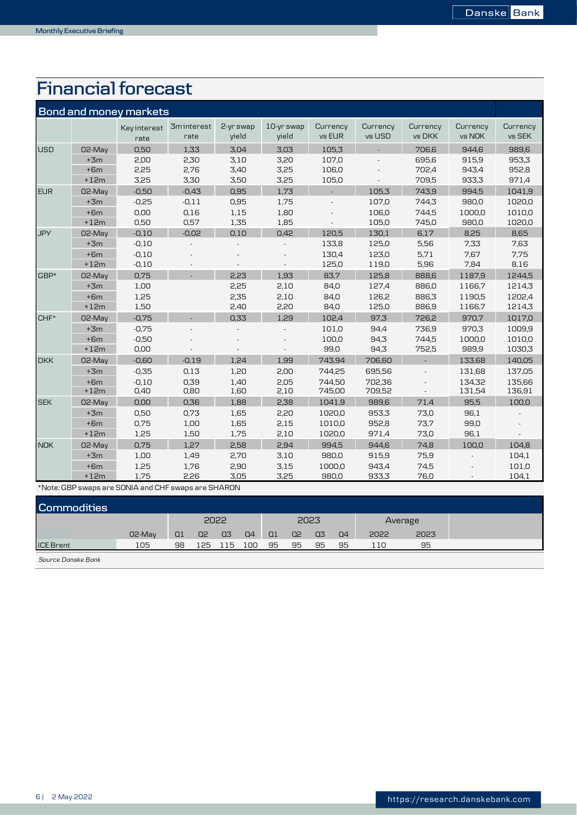# 5B**Financial forecast**

|            |        | <b>Bond and money markets</b> |                           |                    |                     |                    |                    |                    |                    |                    |
|------------|--------|-------------------------------|---------------------------|--------------------|---------------------|--------------------|--------------------|--------------------|--------------------|--------------------|
|            |        | Keyinterest<br>rate           | <b>3minterest</b><br>rate | 2-yr swap<br>vield | 10-yr swap<br>vield | Currency<br>vs EUR | Currency<br>vs USD | Currency<br>vs DKK | Currency<br>vs NOK | Currency<br>vs SEK |
| <b>USD</b> | 02-May | 0.50                          | 1,33                      | 3.04               | 3.03                | 105,3              |                    | 706,6              | 944.6              | 989,6              |
|            | $+3m$  | 2,00                          | 2,30                      | 3,10               | 3.20                | 107,0              |                    | 695,6              | 915,9              | 953,3              |
|            | $+6m$  | 2,25                          | 2,76                      | 3,40               | 3,25                | 106,0              |                    | 702,4              | 943,4              | 952,8              |
|            | $+12m$ | 3,25                          | 3,30                      | 3,50               | 3,25                | 105,0              |                    | 709,5              | 933,3              | 971,4              |
| <b>EUR</b> | 02-May | $-0,50$                       | $-0.43$                   | 0,95               | 1,73                |                    | 105,3              | 743,9              | 994.5              | 1041.9             |
|            | $+3m$  | $-0,25$                       | $-0,11$                   | 0,95               | 1,75                |                    | 107,0              | 744,3              | 980,0              | 1020,0             |
|            | $+6m$  | 0,00                          | 0,16                      | 1,15               | 1,80                |                    | 106,0              | 744,5              | 1000,0             | 1010,0             |
|            | $+12m$ | 0,50                          | 0,57                      | 1,35               | 1,85                |                    | 105,0              | 745,0              | 980,0              | 1020,0             |
| <b>JPY</b> | 02-May | $-0,10$                       | $-0.02$                   | 0,10               | 0,42                | 120,5              | 130,1              | 6,17               | 8,25               | 8,65               |
|            | $+3m$  | $-0,10$                       |                           |                    |                     | 133,8              | 125,0              | 5,56               | 7,33               | 7,63               |
|            | $+6m$  | $-0,10$                       |                           |                    |                     | 130,4              | 123,0              | 5,71               | 7,67               | 7,75               |
|            | $+12m$ | $-0,10$                       |                           |                    |                     | 125,0              | 119,0              | 5,96               | 7,84               | 8,16               |
| GBP*       | 02-May | 0.75                          |                           | 2,23               | 1,93                | 83,7               | 125.8              | 888,6              | 1187,9             | 1244,5             |
|            | $+3m$  | 1,00                          |                           | 2,25               | 2,10                | 84,0               | 127,4              | 886,0              | 1166,7             | 1214,3             |
|            | $+6m$  | 1.25                          |                           | 2,35               | 2,10                | 84,0               | 126.2              | 886.3              | 1190.5             | 1202,4             |
|            | $+12m$ | 1,50                          |                           | 2,40               | 2,20                | 84,0               | 125,0              | 886,9              | 1166,7             | 1214,3             |
| $CHF*$     | 02-May | $-0,75$                       |                           | 0,33               | 1,29                | 102,4              | 97.3               | 726,2              | 970.7              | 1017,0             |
|            | $+3m$  | $-0.75$                       |                           |                    |                     | 101,0              | 94,4               | 736,9              | 970,3              | 1009,9             |
|            | $+6m$  | $-0,50$                       |                           |                    |                     | 100,0              | 94,3               | 744,5              | 1000.0             | 1010,0             |
|            | $+12m$ | 0,00                          |                           |                    |                     | 99,0               | 94,3               | 752,5              | 989,9              | 1030,3             |
| <b>DKK</b> | 02-May | $-0,60$                       | $-0.19$                   | 1,24               | 1,99                | 743,94             | 706,60             |                    | 133,68             | 140,05             |
|            | $+3m$  | $-0,35$                       | 0,13                      | 1,20               | 2,00                | 744,25             | 695,56             |                    | 131,68             | 137,05             |
|            | $+6m$  | $-0.10$                       | 0,39                      | 1,40               | 2,05                | 744.50             | 702,36             |                    | 134.32             | 135,66             |
|            | $+12m$ | 0,40                          | 0,80                      | 1,60               | 2,10                | 745,00             | 709,52             |                    | 131,54             | 136,91             |
| <b>SEK</b> | 02-May | 0.00                          | 0,36                      | 1,88               | 2,38                | 1041,9             | 989,6              | 71,4               | 95.5               | 100,0              |
|            | $+3m$  | 0,50                          | 0,73                      | 1,65               | 2,20                | 1020,0             | 953,3              | 73,0               | 96,1               |                    |
|            | $+6m$  | 0,75                          | 1,00                      | 1,65               | 2,15                | 1010,0             | 952,8              | 73,7               | 99,0               |                    |
|            | $+12m$ | 1,25                          | 1,50                      | 1,75               | 2,10                | 1020,0             | 971,4              | 73,0               | 96,1               |                    |
| <b>NOK</b> | 02-May | 0.75                          | 1.27                      | 2.58               | 2.94                | 994.5              | 944.6              | 74.8               | 100,0              | 104.8              |
|            | $+3m$  | 1,00                          | 1,49                      | 2,70               | 3,10                | 980,0              | 915,9              | 75,9               |                    | 104,1              |
|            | $+6m$  | 1,25                          | 1,76                      | 2,90               | 3,15                | 1000,0             | 943,4              | 74,5               |                    | 101,0              |
|            | $+12m$ | 1,75                          | 2,26                      | 3,05               | 3,25                | 980,0              | 933,3              | 76,0               |                    | 104,1              |

\*Note: GBP swaps are SONIA and CHF swaps are SHARON

| <b>Commodities</b> |        |      |           |       |       |           |           |      |    |         |      |  |
|--------------------|--------|------|-----------|-------|-------|-----------|-----------|------|----|---------|------|--|
|                    |        | 2022 |           |       | 2023  |           |           |      |    | Average |      |  |
|                    | 02-May | Q1   | $Q2 \tQ3$ |       | Q4    | <b>Q1</b> | <b>Q2</b> | 03   | Q4 | 2022    | 2023 |  |
| <b>ICE Brent</b>   | 105    | 98   | 125       | - 115 | - 100 | - 95      | 95        | - 95 | 95 | 110     | 95   |  |
|                    |        |      |           |       |       |           |           |      |    |         |      |  |

*Source Danske Bank*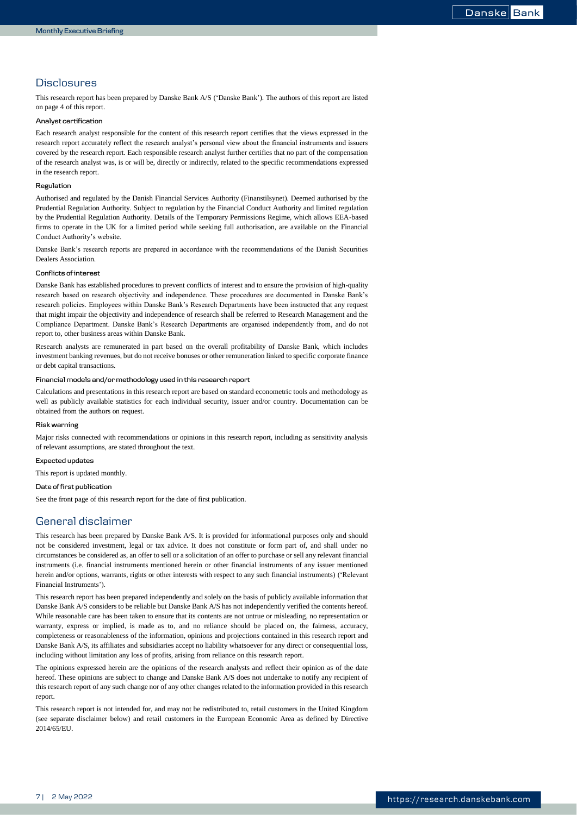# **Disclosures**

This research report has been prepared by Danske Bank A/S ('Danske Bank'). The authors of this report are listed on page 4 of this report.

#### **Analyst certification**

Each research analyst responsible for the content of this research report certifies that the views expressed in the research report accurately reflect the research analyst's personal view about the financial instruments and issuers covered by the research report. Each responsible research analyst further certifies that no part of the compensation of the research analyst was, is or will be, directly or indirectly, related to the specific recommendations expressed in the research report.

#### **Regulation**

Authorised and regulated by the Danish Financial Services Authority (Finanstilsynet). Deemed authorised by the Prudential Regulation Authority. Subject to regulation by the Financial Conduct Authority and limited regulation by the Prudential Regulation Authority. Details of the Temporary Permissions Regime, which allows EEA-based firms to operate in the UK for a limited period while seeking full authorisation, are available on the Financial Conduct Authority's website.

Danske Bank's research reports are prepared in accordance with the recommendations of the Danish Securities Dealers Association.

#### **Conflicts of interest**

Danske Bank has established procedures to prevent conflicts of interest and to ensure the provision of high-quality research based on research objectivity and independence. These procedures are documented in Danske Bank's research policies. Employees within Danske Bank's Research Departments have been instructed that any request that might impair the objectivity and independence of research shall be referred to Research Management and the Compliance Department. Danske Bank's Research Departments are organised independently from, and do not report to, other business areas within Danske Bank.

Research analysts are remunerated in part based on the overall profitability of Danske Bank, which includes investment banking revenues, but do not receive bonuses or other remuneration linked to specific corporate finance or debt capital transactions.

#### **Financial models and/or methodology used in this research report**

Calculations and presentations in this research report are based on standard econometric tools and methodology as well as publicly available statistics for each individual security, issuer and/or country. Documentation can be obtained from the authors on request.

#### **Risk warning**

Major risks connected with recommendations or opinions in this research report, including as sensitivity analysis of relevant assumptions, are stated throughout the text.

#### **Expected updates**

This report is updated monthly.

#### **Date of first publication**

See the front page of this research report for the date of first publication.

# General disclaimer

This research has been prepared by Danske Bank A/S. It is provided for informational purposes only and should not be considered investment, legal or tax advice. It does not constitute or form part of, and shall under no circumstances be considered as, an offer to sell or a solicitation of an offer to purchase or sell any relevant financial instruments (i.e. financial instruments mentioned herein or other financial instruments of any issuer mentioned herein and/or options, warrants, rights or other interests with respect to any such financial instruments) ('Relevant Financial Instruments').

This research report has been prepared independently and solely on the basis of publicly available information that Danske Bank A/S considers to be reliable but Danske Bank A/S has not independently verified the contents hereof. While reasonable care has been taken to ensure that its contents are not untrue or misleading, no representation or warranty, express or implied, is made as to, and no reliance should be placed on, the fairness, accuracy, completeness or reasonableness of the information, opinions and projections contained in this research report and Danske Bank A/S, its affiliates and subsidiaries accept no liability whatsoever for any direct or consequential loss, including without limitation any loss of profits, arising from reliance on this research report.

The opinions expressed herein are the opinions of the research analysts and reflect their opinion as of the date hereof. These opinions are subject to change and Danske Bank A/S does not undertake to notify any recipient of this research report of any such change nor of any other changes related to the information provided in this research report.

This research report is not intended for, and may not be redistributed to, retail customers in the United Kingdom (see separate disclaimer below) and retail customers in the European Economic Area as defined by Directive 2014/65/EU.